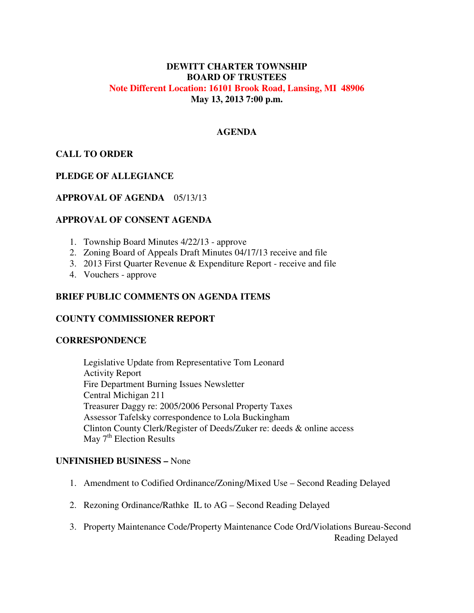# **DEWITT CHARTER TOWNSHIP BOARD OF TRUSTEES Note Different Location: 16101 Brook Road, Lansing, MI 48906 May 13, 2013 7:00 p.m.**

### **AGENDA**

# **CALL TO ORDER**

### **PLEDGE OF ALLEGIANCE**

### **APPROVAL OF AGENDA** 05/13/13

### **APPROVAL OF CONSENT AGENDA**

- 1. Township Board Minutes 4/22/13 approve
- 2. Zoning Board of Appeals Draft Minutes 04/17/13 receive and file
- 3. 2013 First Quarter Revenue & Expenditure Report receive and file
- 4. Vouchers approve

### **BRIEF PUBLIC COMMENTS ON AGENDA ITEMS**

#### **COUNTY COMMISSIONER REPORT**

#### **CORRESPONDENCE**

 Legislative Update from Representative Tom Leonard Activity Report Fire Department Burning Issues Newsletter Central Michigan 211 Treasurer Daggy re: 2005/2006 Personal Property Taxes Assessor Tafelsky correspondence to Lola Buckingham Clinton County Clerk/Register of Deeds/Zuker re: deeds & online access May  $7<sup>th</sup>$  Election Results

### **UNFINISHED BUSINESS –** None

- 1. Amendment to Codified Ordinance/Zoning/Mixed Use Second Reading Delayed
- 2. Rezoning Ordinance/Rathke IL to AG Second Reading Delayed
- 3. Property Maintenance Code/Property Maintenance Code Ord/Violations Bureau-Second Reading Delayed